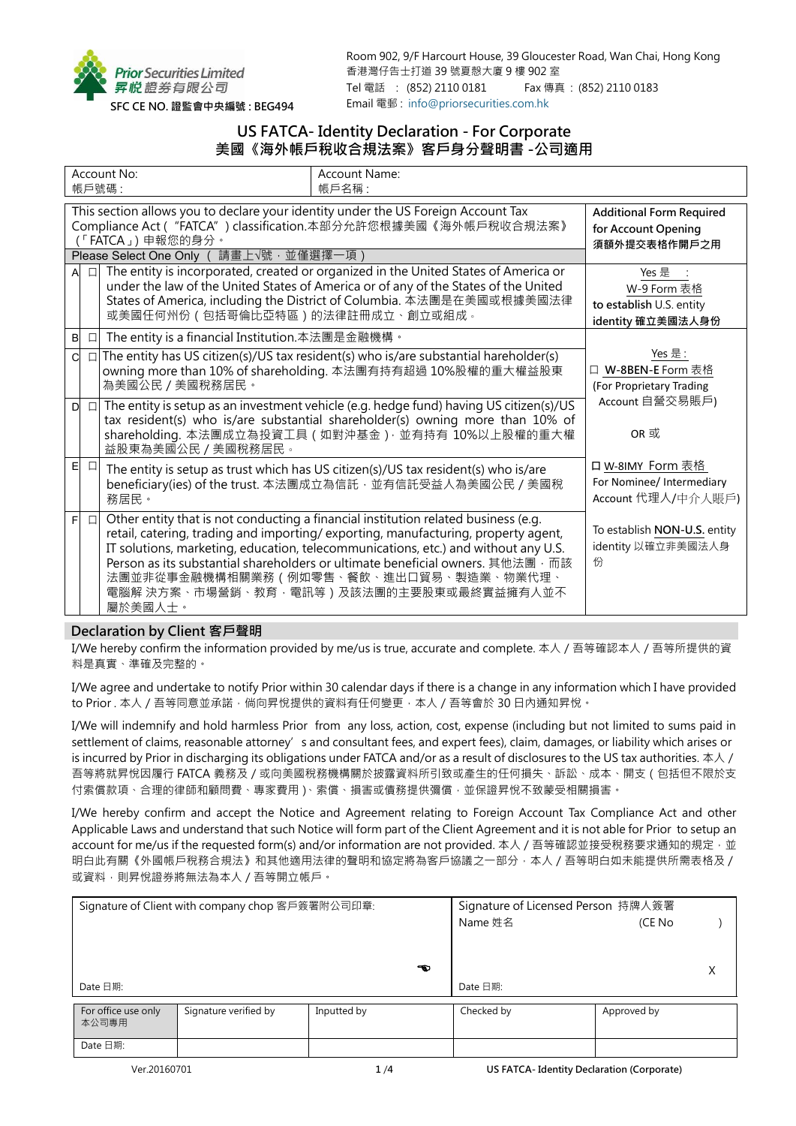

Room 902, 9/F Harcourt House, 39 Gloucester Road, Wan Chai, Hong Kong 香港灣仔告士打道 39 號夏慤大廈 9 樓 902 室 Tel 電話 : (852) 2110 0181 Fax 傳真 : (852) 2110 0183 Email 電郵 : [info@priorsecurities.com.hk](mailto:info@priorsecurities.com.hk)

# **US FATCA- Identity Declaration - For Corporate 美國《海外帳戶稅收合規法案》客戶身分聲明書 -公司適用**

| Account No:<br>帳戶號碼: |        |                                                                                                                                                                                                                                                                                        | Account Name:<br>帳戶名稱:                                                                                                                                                                                                                                                                                                                                                                                                                 |                                                                     |
|----------------------|--------|----------------------------------------------------------------------------------------------------------------------------------------------------------------------------------------------------------------------------------------------------------------------------------------|----------------------------------------------------------------------------------------------------------------------------------------------------------------------------------------------------------------------------------------------------------------------------------------------------------------------------------------------------------------------------------------------------------------------------------------|---------------------------------------------------------------------|
|                      |        | This section allows you to declare your identity under the US Foreign Account Tax<br>Compliance Act ( "FATCA" ) classification.本部分允許您根據美國《海外帳戶稅收合規法案》<br>(「FATCA」) 申報您的身分。<br>請畫上√號‧並僅選擇一項)<br>Please Select One Only (                                                                | <b>Additional Form Required</b><br>for Account Opening<br>須額外提交表格作開戶之用                                                                                                                                                                                                                                                                                                                                                                 |                                                                     |
|                      | $\Box$ | The entity is incorporated, created or organized in the United States of America or<br>under the law of the United States of America or of any of the States of the United<br>States of America, including the District of Columbia. 本法團是在美國或根據美國法律<br>或美國任何州份(包括哥倫比亞特區)的法律註冊成立、創立或組成。 | Yes 是<br>W-9 Form 表格<br>to establish U.S. entity<br>identity 確立美國法人身份                                                                                                                                                                                                                                                                                                                                                                  |                                                                     |
| $\sf B$              | $\Box$ | The entity is a financial Institution.本法團是金融機構。                                                                                                                                                                                                                                        |                                                                                                                                                                                                                                                                                                                                                                                                                                        |                                                                     |
| C.                   |        | 為美國公民 / 美國稅務居民。                                                                                                                                                                                                                                                                        | $\Box$ The entity has US citizen(s)/US tax resident(s) who is/are substantial hareholder(s)<br>owning more than 10% of shareholding. 本法團有持有超過 10%股權的重大權益股東                                                                                                                                                                                                                                                                             | Yes 是:<br>□ W-8BEN-E Form 表格<br>(For Proprietary Trading            |
| D                    | $\Box$ | 益股東為美國公民 / 美國稅務居民。                                                                                                                                                                                                                                                                     | The entity is setup as an investment vehicle (e.g. hedge fund) having US citizen(s)/US<br>tax resident(s) who is/are substantial shareholder(s) owning more than 10% of<br>shareholding. 本法團成立為投資工具 (如對沖基金) · 並有持有 10%以上股權的重大權                                                                                                                                                                                                         | Account 自營交易賬戶)<br>OR 或                                             |
| E                    | $\Box$ | 務居民。                                                                                                                                                                                                                                                                                   | The entity is setup as trust which has US citizen(s)/US tax resident(s) who is/are<br>beneficiary(ies) of the trust. 本法團成立為信託, 並有信託受益人為美國公民 / 美國稅                                                                                                                                                                                                                                                                                      | 口 W-8IMY Form 表格<br>For Nominee/ Intermediary<br>Account 代理人/中介人賬戶) |
| F                    | $\Box$ | 屬於美國人士。                                                                                                                                                                                                                                                                                | Other entity that is not conducting a financial institution related business (e.g.<br>retail, catering, trading and importing/exporting, manufacturing, property agent,<br>IT solutions, marketing, education, telecommunications, etc.) and without any U.S.<br>Person as its substantial shareholders or ultimate beneficial owners. 其他法團 · 而該<br>法團並非從事金融機構相關業務 (例如零售、餐飲、進出口貿易、製造業、物業代理、<br>電腦解 決方案、市場營銷、教育‧電訊等)及該法團的主要股東或最終實益擁有人並不 | To establish NON-U.S. entity<br>identity 以確立非美國法人身<br>份             |

## **Declaration by Client 客戶聲明**

I/We hereby confirm the information provided by me/us is true, accurate and complete. 本人/吾等確認本人/吾等所提供的資 料是真實、準確及完整的。

I/We agree and undertake to notify Prior within 30 calendar days if there is a change in any information which I have provided to Prior . 本人 / 吾等同意並承諾, 倘向昇悅提供的資料有任何變更, 本人 / 吾等會於 30 日内通知昇悅。

I/We will indemnify and hold harmless Prior from any loss, action, cost, expense (including but not limited to sums paid in settlement of claims, reasonable attorney's and consultant fees, and expert fees), claim, damages, or liability which arises or is incurred by Prior in discharging its obligations under FATCA and/or as a result of disclosures to the US tax authorities. 本人/ 吾等將就昇悅因履行 FATCA 義務及/或向美國稅務機構關於披露資料所引致或產生的任何損失、訴訟、成本、開支(包括但不限於支 付索償款項、合理的律師和顧問費、專家費用)、索償、損害或債務提供彌償,並保證昇悅不致蒙受相關損害。

I/We hereby confirm and accept the Notice and Agreement relating to Foreign Account Tax Compliance Act and other Applicable Laws and understand that such Notice will form part of the Client Agreement and it is not able for Prior to setup an account for me/us if the requested form(s) and/or information are not provided. 本人 / 吾等確認並接受稅務要求通知的規定, 並 明白此有關《外國帳戶稅務合規法》和其他適用法律的聲明和協定將為客戶協議之一部分,本人 / 吾等明白如未能提供所需表格及 / 或資料,則昇悅證券將無法為本人 / 吾等開立帳戶。

|                     | Signature of Client with company chop 客戶簽署附公司印章: | Signature of Licensed Person 持牌人簽署 |            |             |  |
|---------------------|--------------------------------------------------|------------------------------------|------------|-------------|--|
|                     |                                                  | Name 姓名                            | (CE No     |             |  |
|                     |                                                  |                                    |            |             |  |
|                     |                                                  |                                    |            |             |  |
|                     |                                                  | ☜                                  |            |             |  |
| Date 日期:            |                                                  | Date 日期:                           |            |             |  |
| For office use only | Signature verified by                            | Inputted by                        | Checked by | Approved by |  |
| 本公司專用               |                                                  |                                    |            |             |  |
|                     |                                                  |                                    |            |             |  |
| Date 日期:            |                                                  |                                    |            |             |  |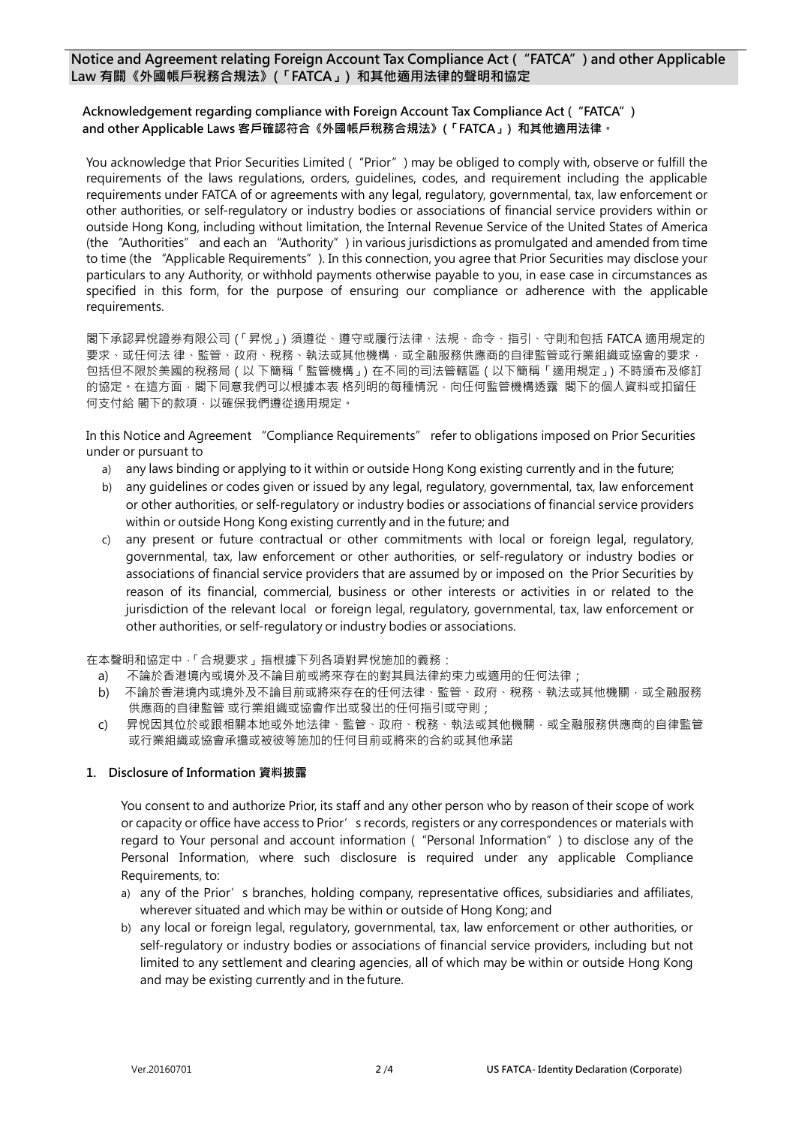## **Notice and Agreement relating Foreign Account Tax Compliance Act ("FATCA") and other Applicable Law 有關《外國帳戶稅務合規法》(「FATCA」) 和其他適用法律的聲明和協定**

## **Acknowledgement regarding compliance with Foreign Account Tax Compliance Act ("FATCA") and other Applicable Laws 客戶確認符合《外國帳戶稅務合規法》(「FATCA」) 和其他適用法律。**

You acknowledge that Prior Securities Limited ("Prior") may be obliged to comply with, observe or fulfill the requirements of the laws regulations, orders, guidelines, codes, and requirement including the applicable requirements under FATCA of or agreements with any legal, regulatory, governmental, tax, law enforcement or other authorities, or self-regulatory or industry bodies or associations of financial service providers within or outside Hong Kong, including without limitation, the Internal Revenue Service of the United States of America (the "Authorities" and each an "Authority") in various jurisdictions as promulgated and amended from time to time (the "Applicable Requirements"). In this connection, you agree that Prior Securities may disclose your particulars to any Authority, or withhold payments otherwise payable to you, in ease case in circumstances as specified in this form, for the purpose of ensuring our compliance or adherence with the applicable requirements.

閣下承認昇悅證券有限公司(「昇悅」)須遵從、遵守或履行法律、法規、命令、指引、守則和包括 FATCA 適用規定的 要求、或任何法 律、監管、政府、稅務、執法或其他機構,或全融服務供應商的自律監管或行業組織或協會的要求, 包括但不限於美國的稅務局(以 下簡稱「監管機構」)在不同的司法管轄區(以下簡稱「適用規定」)不時頒布及修訂 的協定。在這方面,閣下同意我們可以根據本表 格列明的每種情況,向任何監管機構透露 閣下的個人資料或扣留任 何支付給 閣下的款項,以確保我們遵從適用規定。

In this Notice and Agreement "Compliance Requirements" refer to obligations imposed on Prior Securities under or pursuant to

- a) any laws binding or applying to it within or outside Hong Kong existing currently and in the future;
- b) any guidelines or codes given or issued by any legal, regulatory, governmental, tax, law enforcement or other authorities, or self-regulatory or industry bodies or associations of financial service providers within or outside Hong Kong existing currently and in the future; and
- c) any present or future contractual or other commitments with local or foreign legal, regulatory, governmental, tax, law enforcement or other authorities, or self-regulatory or industry bodies or associations of financial service providers that are assumed by or imposed on the Prior Securities by reason of its financial, commercial, business or other interests or activities in or related to the jurisdiction of the relevant local or foreign legal, regulatory, governmental, tax, law enforcement or other authorities, or self-regulatory or industry bodies or associations.

在本聲明和協定中,「合規要求」指根據下列各項對昇悅施加的義務:

- a) 不論於香港境內或境外及不論目前或將來存在的對其具法律約束力或適用的任何法律;
- b) 不論於香港境內或境外及不論目前或將來存在的任何法律、監管、政府、稅務、執法或其他機關,或全融服務 供應商的自律監管 或行業組織或協會作出或發出的任何指引或守則;
- c) 昇悅因其位於或跟相關本地或外地法律、監管、政府、稅務、執法或其他機關,或全融服務供應商的自律監管 或行業組織或協會承擔或被彼等施加的任何目前或將來的合約或其他承諾

## **1. Disclosure of Information 資料披露**

You consent to and authorize Prior, its staff and any other person who by reason of their scope of work or capacity or office have access to Prior's records, registers or any correspondences or materials with regard to Your personal and account information ("Personal Information") to disclose any of the Personal Information, where such disclosure is required under any applicable Compliance Requirements, to:

- a) any of the Prior's branches, holding company, representative offices, subsidiaries and affiliates, wherever situated and which may be within or outside of Hong Kong; and
- b) any local or foreign legal, regulatory, governmental, tax, law enforcement or other authorities, or self-regulatory or industry bodies or associations of financial service providers, including but not limited to any settlement and clearing agencies, all of which may be within or outside Hong Kong and may be existing currently and in the future.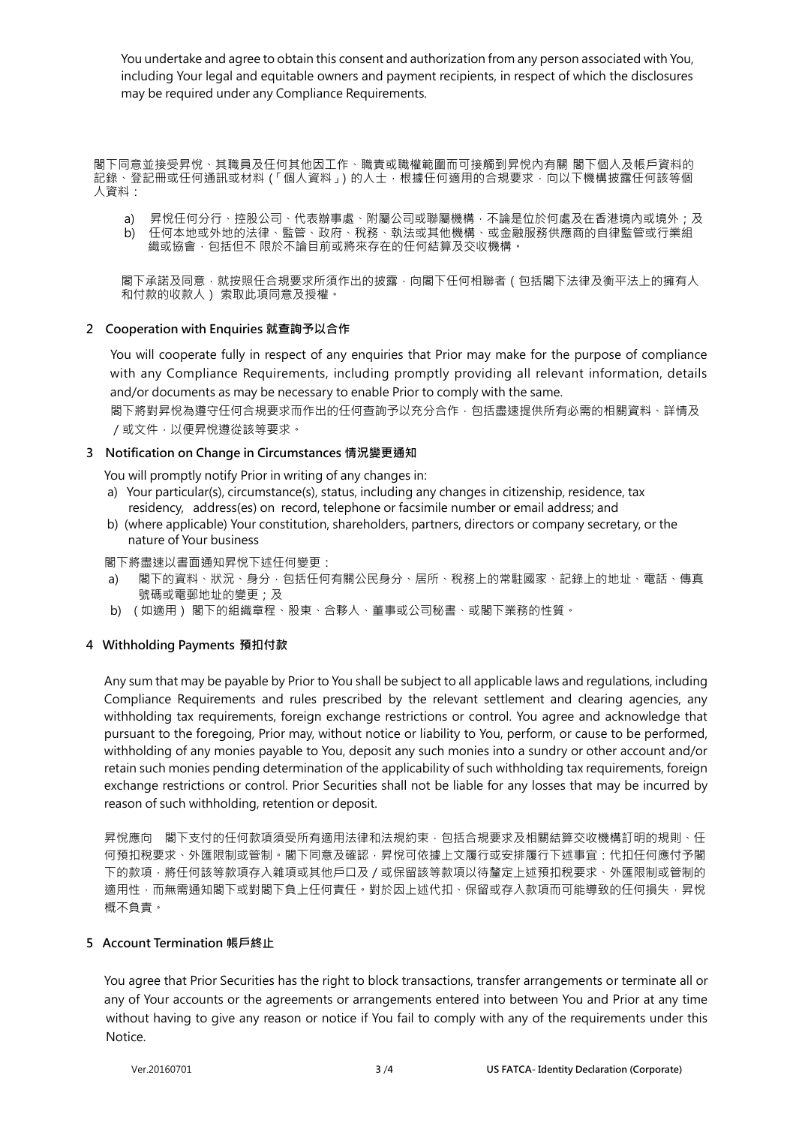You undertake and agree to obtain this consent and authorization from any person associated with You, including Your legal and equitable owners and payment recipients, in respect of which the disclosures may be required under any Compliance Requirements.

閣下同意並接受昇悅、其職員及任何其他因工作、職責或職權範圍而可接觸到昇悅內有關 閣下個人及帳戶資料的 記錄、登記冊或任何通訊或材料 (「個人資料」) 的人士,根據任何適用的合規要求,向以下機構披露任何該等個 人資料:

- a) 昇悅任何分行、控股公司、代表辦事處、附屬公司或聯屬機構,不論是位於何處及在香港境內或境外;及
- b) 任何本地或外地的法律、監管、政府、稅務、執法或其他機構、或金融服務供應商的自律監管或行業組 織或協會 · 包括但不 限於不論目前或將來存在的任何結算及交收機構 ·

閣下承諾及同意‧就按照任合規要求所須作出的披露﹐向閣下任何相聯者(包括閣下法律及衡平法上的擁有人 和付款的收款人) 索取此項同意及授權。

### **2 Cooperation with Enquiries 就查詢予以合作**

 You will cooperate fully in respect of any enquiries that Prior may make for the purpose of compliance with any Compliance Requirements, including promptly providing all relevant information, details and/or documents as may be necessary to enable Prior to comply with the same.

 閣下將對昇悅為遵守任何合規要求而作出的任何查詢予以充分合作,包括盡速提供所有必需的相關資料、詳情及 /或文件,以便昇悅遵從該等要求。

### **3 Notification on Change in Circumstances 情況變更通知**

You will promptly notify Prior in writing of any changes in:

- a) Your particular(s), circumstance(s), status, including any changes in citizenship, residence, tax residency, address(es) on record, telephone or facsimile number or email address; and
- b) (where applicable) Your constitution, shareholders, partners, directors or company secretary, or the nature of Your business

閣下將盡速以書面通知昇悅下述任何變更:

- a) 閣下的資料、狀況、身分,包括任何有關公民身分、居所、稅務上的常駐國家、記錄上的地址、電話、傳真 號碼或電郵地址的變更;及
- b) ( 如適用) 閣下的組織章程、股東、合夥人、董事或公司秘書、或閣下業務的性質。

## **4 Withholding Payments 預扣付款**

 Any sum that may be payable by Prior to You shall be subject to all applicable laws and regulations, including Compliance Requirements and rules prescribed by the relevant settlement and clearing agencies, any withholding tax requirements, foreign exchange restrictions or control. You agree and acknowledge that pursuant to the foregoing, Prior may, without notice or liability to You, perform, or cause to be performed, withholding of any monies payable to You, deposit any such monies into a sundry or other account and/or retain such monies pending determination of the applicability of such withholding tax requirements, foreign exchange restrictions or control. Prior Securities shall not be liable for any losses that may be incurred by reason of such withholding, retention or deposit.

昇悅應向 閣下支付的任何款項須受所有適用法律和法規約束,包括合規要求及相關結算交收機構訂明的規則、任 何預扣稅要求、外匯限制或管制。閣下同意及確認,昇悅可依據上文履行或安排履行下述事宜:代扣任何應付予閣 下的款項,將任何該等款項存入雜項或其他戶口及 / 或保留該等款項以待釐定上述預扣稅要求、外匯限制或管制的 適用性,而無需通知閣下或對閣下負上任何責任。對於因上述代扣、保留或存入款項而可能導致的任何損失,昇悅 概不負責。

#### **5 Account Termination 帳戶終止**

You agree that Prior Securities has the right to block transactions, transfer arrangements or terminate all or any of Your accounts or the agreements or arrangements entered into between You and Prior at any time without having to give any reason or notice if You fail to comply with any of the requirements under this Notice.